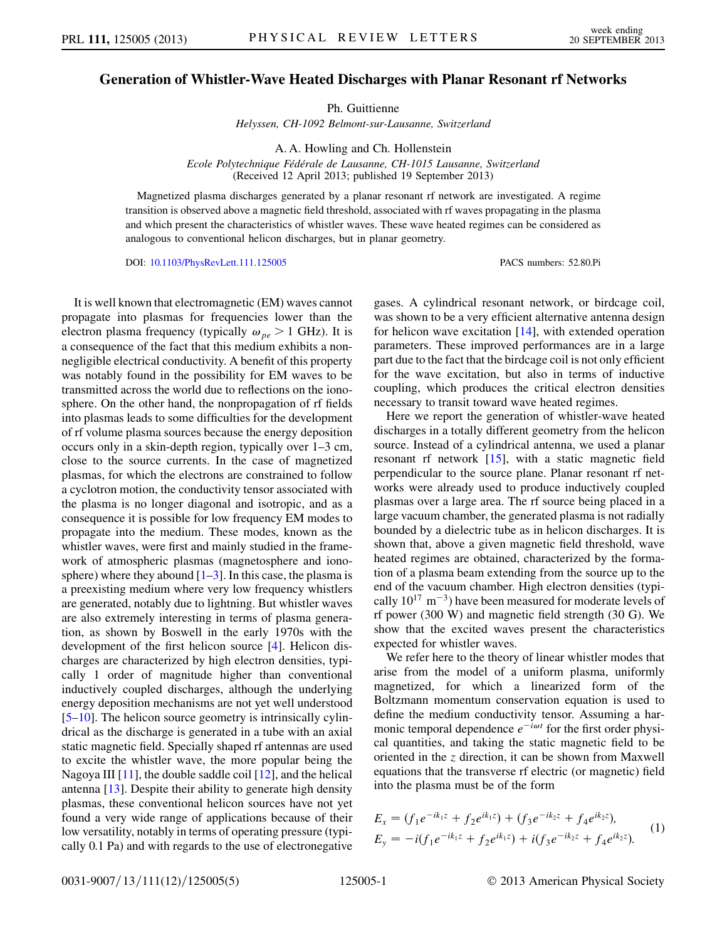## Generation of Whistler-Wave Heated Discharges with Planar Resonant rf Networks

Ph. Guittienne

Helyssen, CH-1092 Belmont-sur-Lausanne, Switzerland

A. A. Howling and Ch. Hollenstein

Ecole Polytechnique Fédérale de Lausanne, CH-1015 Lausanne, Switzerland (Received 12 April 2013; published 19 September 2013)

Magnetized plasma discharges generated by a planar resonant rf network are investigated. A regime transition is observed above a magnetic field threshold, associated with rf waves propagating in the plasma and which present the characteristics of whistler waves. These wave heated regimes can be considered as analogous to conventional helicon discharges, but in planar geometry.

DOI: [10.1103/PhysRevLett.111.125005](http://dx.doi.org/10.1103/PhysRevLett.111.125005) PACS numbers: 52.80.Pi

It is well known that electromagnetic (EM) waves cannot propagate into plasmas for frequencies lower than the electron plasma frequency (typically  $\omega_{pe} > 1$  GHz). It is a consequence of the fact that this medium exhibits a nonnegligible electrical conductivity. A benefit of this property was notably found in the possibility for EM waves to be transmitted across the world due to reflections on the ionosphere. On the other hand, the nonpropagation of rf fields into plasmas leads to some difficulties for the development of rf volume plasma sources because the energy deposition occurs only in a skin-depth region, typically over 1–3 cm, close to the source currents. In the case of magnetized plasmas, for which the electrons are constrained to follow a cyclotron motion, the conductivity tensor associated with the plasma is no longer diagonal and isotropic, and as a consequence it is possible for low frequency EM modes to propagate into the medium. These modes, known as the whistler waves, were first and mainly studied in the framework of atmospheric plasmas (magnetosphere and ionosphere) where they abound  $[1-3]$  $[1-3]$  $[1-3]$ . In this case, the plasma is a preexisting medium where very low frequency whistlers are generated, notably due to lightning. But whistler waves are also extremely interesting in terms of plasma generation, as shown by Boswell in the early 1970s with the development of the first helicon source [[4](#page-3-2)]. Helicon discharges are characterized by high electron densities, typically 1 order of magnitude higher than conventional inductively coupled discharges, although the underlying energy deposition mechanisms are not yet well understood [\[5–](#page-4-0)[10](#page-4-1)]. The helicon source geometry is intrinsically cylindrical as the discharge is generated in a tube with an axial static magnetic field. Specially shaped rf antennas are used to excite the whistler wave, the more popular being the Nagoya III [[11](#page-4-2)], the double saddle coil [[12](#page-4-3)], and the helical antenna [[13](#page-4-4)]. Despite their ability to generate high density plasmas, these conventional helicon sources have not yet found a very wide range of applications because of their low versatility, notably in terms of operating pressure (typically 0.1 Pa) and with regards to the use of electronegative

gases. A cylindrical resonant network, or birdcage coil, was shown to be a very efficient alternative antenna design for helicon wave excitation [[14](#page-4-5)], with extended operation parameters. These improved performances are in a large part due to the fact that the birdcage coil is not only efficient for the wave excitation, but also in terms of inductive coupling, which produces the critical electron densities necessary to transit toward wave heated regimes.

Here we report the generation of whistler-wave heated discharges in a totally different geometry from the helicon source. Instead of a cylindrical antenna, we used a planar resonant rf network [\[15\]](#page-4-6), with a static magnetic field perpendicular to the source plane. Planar resonant rf networks were already used to produce inductively coupled plasmas over a large area. The rf source being placed in a large vacuum chamber, the generated plasma is not radially bounded by a dielectric tube as in helicon discharges. It is shown that, above a given magnetic field threshold, wave heated regimes are obtained, characterized by the formation of a plasma beam extending from the source up to the end of the vacuum chamber. High electron densities (typically  $10^{17}$  m<sup>-3</sup>) have been measured for moderate levels of rf power (300 W) and magnetic field strength (30 G). We show that the excited waves present the characteristics expected for whistler waves.

We refer here to the theory of linear whistler modes that arise from the model of a uniform plasma, uniformly magnetized, for which a linearized form of the Boltzmann momentum conservation equation is used to define the medium conductivity tensor. Assuming a harmonic temporal dependence  $e^{-i\omega t}$  for the first order physical quantities, and taking the static magnetic field to be oriented in the z direction, it can be shown from Maxwell equations that the transverse rf electric (or magnetic) field into the plasma must be of the form

<span id="page-0-0"></span>
$$
E_x = (f_1 e^{-ik_1 z} + f_2 e^{ik_1 z}) + (f_3 e^{-ik_2 z} + f_4 e^{ik_2 z}),
$$
  
\n
$$
E_y = -i(f_1 e^{-ik_1 z} + f_2 e^{ik_1 z}) + i(f_3 e^{-ik_2 z} + f_4 e^{ik_2 z}).
$$
\n(1)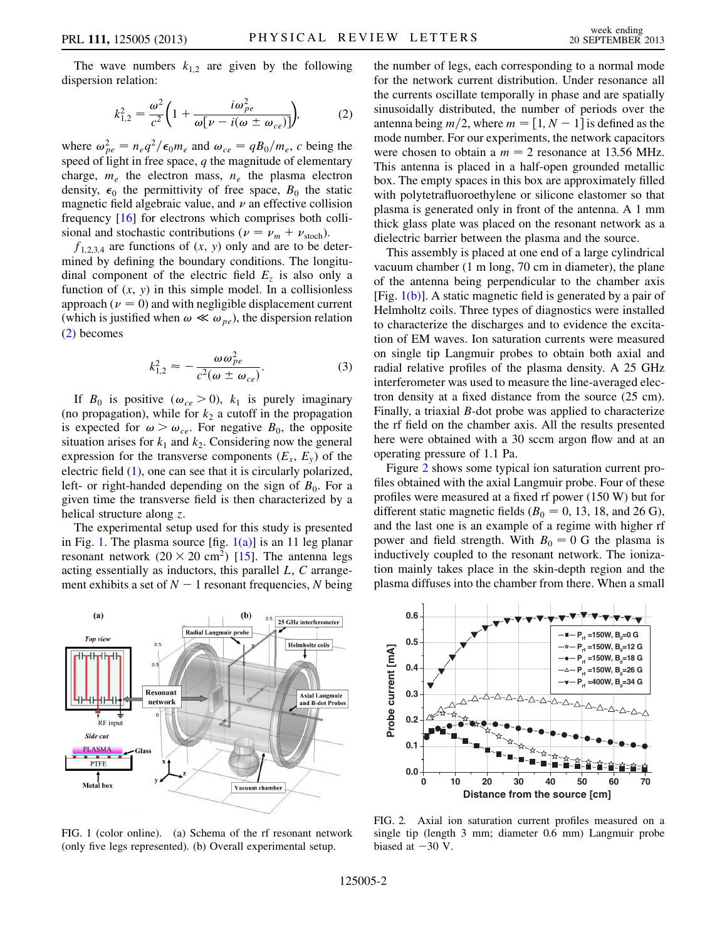<span id="page-1-0"></span>The wave numbers  $k_{1,2}$  are given by the following dispersion relation:

$$
k_{1,2}^2 = \frac{\omega^2}{c^2} \bigg( 1 + \frac{i\omega_{pe}^2}{\omega[\nu - i(\omega \pm \omega_{ce})]} \bigg),\tag{2}
$$

where  $\omega_{pe}^2 = n_e q^2 / \epsilon_0 m_e$  and  $\omega_{ce} = q B_0 / m_e$ , c being the speed of light in free space,  $q$  the magnitude of elementary charge,  $m_e$  the electron mass,  $n_e$  the plasma electron density,  $\epsilon_0$  the permittivity of free space,  $B_0$  the static magnetic field algebraic value, and  $\nu$  an effective collision frequency [\[16\]](#page-4-7) for electrons which comprises both collisional and stochastic contributions ( $\nu = \nu_m + \nu_{\rm stoch}$ ).

 $f_{1,2,3,4}$  are functions of  $(x, y)$  only and are to be determined by defining the boundary conditions. The longitudinal component of the electric field  $E<sub>z</sub>$  is also only a function of  $(x, y)$  in this simple model. In a collisionless approach ( $\nu = 0$ ) and with negligible displacement current (which is justified when  $\omega \ll \omega_{pe}$ ), the dispersion relation [\(2\)](#page-1-0) becomes

$$
k_{1,2}^2 \approx -\frac{\omega \omega_{pe}^2}{c^2(\omega \pm \omega_{ce})}.
$$
 (3)

If  $B_0$  is positive  $(\omega_{ce} > 0)$ ,  $k_1$  is purely imaginary (no propagation), while for  $k_2$  a cutoff in the propagation is expected for  $\omega > \omega_{ce}$ . For negative  $B_0$ , the opposite situation arises for  $k_1$  and  $k_2$ . Considering now the general expression for the transverse components  $(E_x, E_y)$  of the electric field [\(1\)](#page-0-0), one can see that it is circularly polarized, left- or right-handed depending on the sign of  $B_0$ . For a given time the transverse field is then characterized by a helical structure along z.

The experimental setup used for this study is presented in Fig. [1.](#page-1-1) The plasma source [fig.  $1(a)$ ] is an 11 leg planar resonant network  $(20 \times 20 \text{ cm}^2)$  [[15](#page-4-6)]. The antenna legs acting essentially as inductors, this parallel L, C arrangement exhibits a set of  $N - 1$  resonant frequencies, N being

<span id="page-1-1"></span>

<span id="page-1-2"></span>FIG. 1 (color online). (a) Schema of the rf resonant network (only five legs represented). (b) Overall experimental setup.

the number of legs, each corresponding to a normal mode for the network current distribution. Under resonance all the currents oscillate temporally in phase and are spatially sinusoidally distributed, the number of periods over the antenna being  $m/2$ , where  $m = [1, N - 1]$  is defined as the mode number. For our experiments, the network capacitors were chosen to obtain a  $m = 2$  resonance at 13.56 MHz. This antenna is placed in a half-open grounded metallic box. The empty spaces in this box are approximately filled with polytetrafluoroethylene or silicone elastomer so that plasma is generated only in front of the antenna. A 1 mm thick glass plate was placed on the resonant network as a dielectric barrier between the plasma and the source.

This assembly is placed at one end of a large cylindrical vacuum chamber (1 m long, 70 cm in diameter), the plane of the antenna being perpendicular to the chamber axis [Fig.  $1(b)$ ]. A static magnetic field is generated by a pair of Helmholtz coils. Three types of diagnostics were installed to characterize the discharges and to evidence the excitation of EM waves. Ion saturation currents were measured on single tip Langmuir probes to obtain both axial and radial relative profiles of the plasma density. A 25 GHz interferometer was used to measure the line-averaged electron density at a fixed distance from the source (25 cm). Finally, a triaxial B-dot probe was applied to characterize the rf field on the chamber axis. All the results presented here were obtained with a 30 sccm argon flow and at an operating pressure of 1.1 Pa.

Figure [2](#page-1-3) shows some typical ion saturation current profiles obtained with the axial Langmuir probe. Four of these profiles were measured at a fixed rf power (150 W) but for different static magnetic fields ( $B_0 = 0$ , 13, 18, and 26 G), and the last one is an example of a regime with higher rf power and field strength. With  $B_0 = 0$  G the plasma is inductively coupled to the resonant network. The ionization mainly takes place in the skin-depth region and the plasma diffuses into the chamber from there. When a small

<span id="page-1-3"></span>

FIG. 2. Axial ion saturation current profiles measured on a single tip (length 3 mm; diameter 0.6 mm) Langmuir probe biased at  $-30$  V.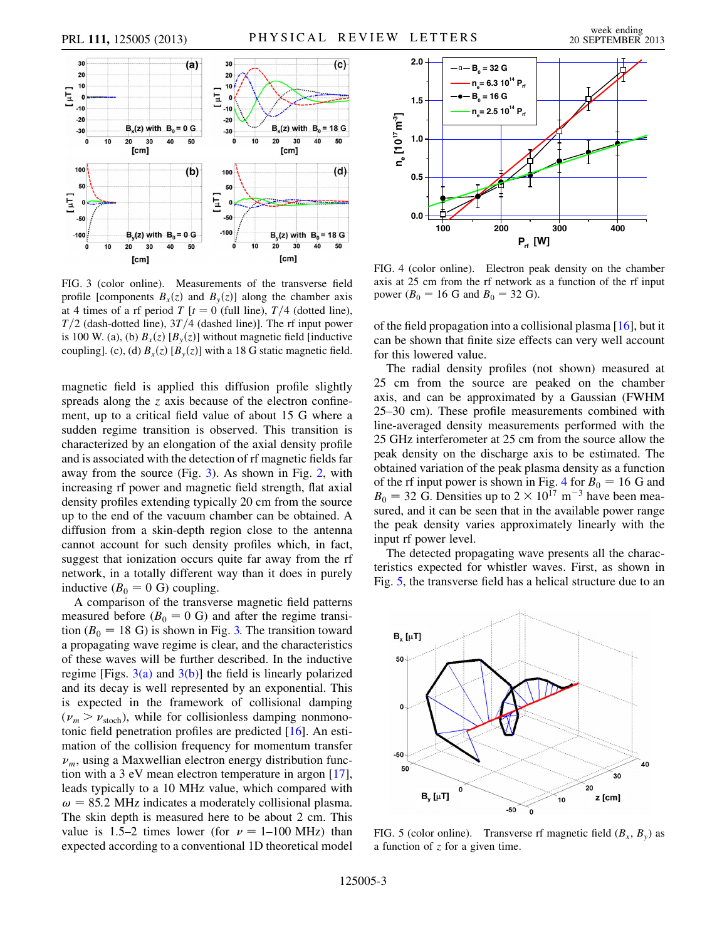<span id="page-2-0"></span>

<span id="page-2-1"></span>FIG. 3 (color online). Measurements of the transverse field profile [components  $B<sub>x</sub>(z)$  and  $B<sub>y</sub>(z)$ ] along the chamber axis at 4 times of a rf period T  $[t = 0$  (full line),  $T/4$  (dotted line),  $T/2$  (dash-dotted line),  $3T/4$  (dashed line)]. The rf input power is 100 W. (a), (b)  $B_x(z)$  [ $B_y(z)$ ] without magnetic field [inductive coupling]. (c), (d)  $B_x(z)$  [ $B_y(z)$ ] with a 18 G static magnetic field.

magnetic field is applied this diffusion profile slightly spreads along the z axis because of the electron confinement, up to a critical field value of about 15 G where a sudden regime transition is observed. This transition is characterized by an elongation of the axial density profile and is associated with the detection of rf magnetic fields far away from the source (Fig. [3\)](#page-2-0). As shown in Fig. [2](#page-1-3), with increasing rf power and magnetic field strength, flat axial density profiles extending typically 20 cm from the source up to the end of the vacuum chamber can be obtained. A diffusion from a skin-depth region close to the antenna cannot account for such density profiles which, in fact, suggest that ionization occurs quite far away from the rf network, in a totally different way than it does in purely inductive  $(B_0 = 0 \text{ G})$  coupling.

A comparison of the transverse magnetic field patterns measured before ( $B_0 = 0$  G) and after the regime transition ( $B_0 = 18$  G) is shown in Fig. [3.](#page-2-0) The transition toward a propagating wave regime is clear, and the characteristics of these waves will be further described. In the inductive regime [Figs.  $3(a)$  and  $3(b)$ ] the field is linearly polarized and its decay is well represented by an exponential. This is expected in the framework of collisional damping  $(\nu_m > \nu_{\rm stoch})$ , while for collisionless damping nonmonotonic field penetration profiles are predicted [[16](#page-4-7)]. An estimation of the collision frequency for momentum transfer  $\nu_m$ , using a Maxwellian electron energy distribution function with a 3 eV mean electron temperature in argon [[17\]](#page-4-8), leads typically to a 10 MHz value, which compared with  $\omega$  = 85.2 MHz indicates a moderately collisional plasma. The skin depth is measured here to be about 2 cm. This value is 1.5–2 times lower (for  $\nu = 1-100 \text{ MHz}$ ) than expected according to a conventional 1D theoretical model

<span id="page-2-2"></span>

FIG. 4 (color online). Electron peak density on the chamber axis at 25 cm from the rf network as a function of the rf input power ( $B_0 = 16$  G and  $B_0 = 32$  G).

of the field propagation into a collisional plasma [\[16\]](#page-4-7), but it can be shown that finite size effects can very well account for this lowered value.

The radial density profiles (not shown) measured at 25 cm from the source are peaked on the chamber axis, and can be approximated by a Gaussian (FWHM 25–30 cm). These profile measurements combined with line-averaged density measurements performed with the 25 GHz interferometer at 25 cm from the source allow the peak density on the discharge axis to be estimated. The obtained variation of the peak plasma density as a function of the rf input power is shown in Fig. [4](#page-2-2) for  $B_0 = 16$  G and  $B_0 = 32$  G. Densities up to  $2 \times 10^{17}$  m<sup>-3</sup> have been measured, and it can be seen that in the available power range the peak density varies approximately linearly with the input rf power level.

The detected propagating wave presents all the characteristics expected for whistler waves. First, as shown in Fig. [5](#page-2-3), the transverse field has a helical structure due to an

<span id="page-2-3"></span>

FIG. 5 (color online). Transverse rf magnetic field  $(B_x, B_y)$  as a function of  $z$  for a given time.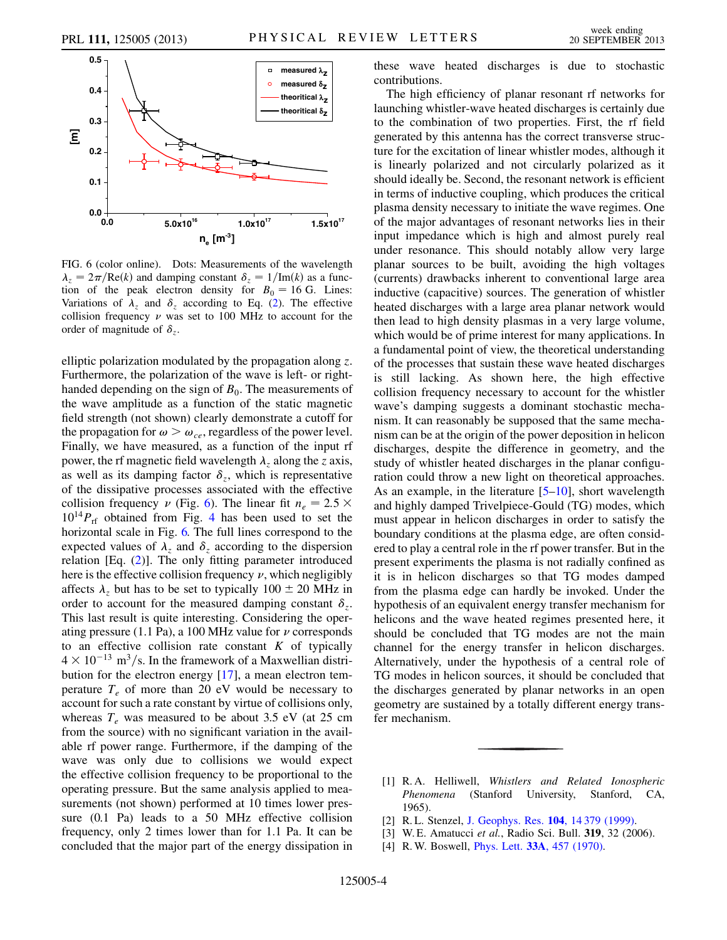<span id="page-3-3"></span>

FIG. 6 (color online). Dots: Measurements of the wavelength  $\lambda_z = 2\pi/\text{Re}(k)$  and damping constant  $\delta_z = 1/\text{Im}(k)$  as a function of the peak electron density for  $B_0 = 16$  G. Lines: Variations of  $\lambda_z$  and  $\delta_z$  according to Eq. ([2](#page-1-0)). The effective collision frequency  $\nu$  was set to 100 MHz to account for the order of magnitude of  $\delta_z$ .

elliptic polarization modulated by the propagation along z. Furthermore, the polarization of the wave is left- or righthanded depending on the sign of  $B_0$ . The measurements of the wave amplitude as a function of the static magnetic field strength (not shown) clearly demonstrate a cutoff for the propagation for  $\omega > \omega_{ce}$ , regardless of the power level. Finally, we have measured, as a function of the input rf power, the rf magnetic field wavelength  $\lambda_z$  along the z axis, as well as its damping factor  $\delta_z$ , which is representative of the dissipative processes associated with the effective collision frequency  $\nu$  (Fig. [6](#page-3-3)). The linear fit  $n_e = 2.5 \times$  $10^{14}P_{\text{rf}}$  $10^{14}P_{\text{rf}}$  $10^{14}P_{\text{rf}}$  obtained from Fig. 4 has been used to set the horizontal scale in Fig. [6.](#page-3-3) The full lines correspond to the expected values of  $\lambda_z$  and  $\delta_z$  according to the dispersion relation [Eq. ([2](#page-1-0))]. The only fitting parameter introduced here is the effective collision frequency  $\nu$ , which negligibly affects  $\lambda_z$  but has to be set to typically 100  $\pm$  20 MHz in order to account for the measured damping constant  $\delta_z$ . This last result is quite interesting. Considering the operating pressure (1.1 Pa), a 100 MHz value for  $\nu$  corresponds to an effective collision rate constant  $K$  of typically  $4 \times 10^{-13}$  m<sup>3</sup>/s. In the framework of a Maxwellian distribution for the electron energy [\[17\]](#page-4-8), a mean electron temperature  $T_e$  of more than 20 eV would be necessary to account for such a rate constant by virtue of collisions only, whereas  $T_e$  was measured to be about 3.5 eV (at 25 cm from the source) with no significant variation in the available rf power range. Furthermore, if the damping of the wave was only due to collisions we would expect the effective collision frequency to be proportional to the operating pressure. But the same analysis applied to measurements (not shown) performed at 10 times lower pressure (0.1 Pa) leads to a 50 MHz effective collision frequency, only 2 times lower than for 1.1 Pa. It can be concluded that the major part of the energy dissipation in these wave heated discharges is due to stochastic contributions.

The high efficiency of planar resonant rf networks for launching whistler-wave heated discharges is certainly due to the combination of two properties. First, the rf field generated by this antenna has the correct transverse structure for the excitation of linear whistler modes, although it is linearly polarized and not circularly polarized as it should ideally be. Second, the resonant network is efficient in terms of inductive coupling, which produces the critical plasma density necessary to initiate the wave regimes. One of the major advantages of resonant networks lies in their input impedance which is high and almost purely real under resonance. This should notably allow very large planar sources to be built, avoiding the high voltages (currents) drawbacks inherent to conventional large area inductive (capacitive) sources. The generation of whistler heated discharges with a large area planar network would then lead to high density plasmas in a very large volume, which would be of prime interest for many applications. In a fundamental point of view, the theoretical understanding of the processes that sustain these wave heated discharges is still lacking. As shown here, the high effective collision frequency necessary to account for the whistler wave's damping suggests a dominant stochastic mechanism. It can reasonably be supposed that the same mechanism can be at the origin of the power deposition in helicon discharges, despite the difference in geometry, and the study of whistler heated discharges in the planar configuration could throw a new light on theoretical approaches. As an example, in the literature  $[5-10]$  $[5-10]$  $[5-10]$ , short wavelength and highly damped Trivelpiece-Gould (TG) modes, which must appear in helicon discharges in order to satisfy the boundary conditions at the plasma edge, are often considered to play a central role in the rf power transfer. But in the present experiments the plasma is not radially confined as it is in helicon discharges so that TG modes damped from the plasma edge can hardly be invoked. Under the hypothesis of an equivalent energy transfer mechanism for helicons and the wave heated regimes presented here, it should be concluded that TG modes are not the main channel for the energy transfer in helicon discharges. Alternatively, under the hypothesis of a central role of TG modes in helicon sources, it should be concluded that the discharges generated by planar networks in an open geometry are sustained by a totally different energy transfer mechanism.

- <span id="page-3-0"></span>[1] R.A. Helliwell, Whistlers and Related Ionospheric Phenomena (Stanford University, Stanford, CA, 1965).
- <span id="page-3-1"></span>[2] R. L. Stenzel, [J. Geophys. Res.](http://dx.doi.org/10.1029/1998JA900120) 104, 14379 (1999).
- <span id="page-3-2"></span>[3] W. E. Amatucci et al., Radio Sci. Bull. 319, 32 (2006).
- [4] R. W. Boswell, Phys. Lett. 33A[, 457 \(1970\).](http://dx.doi.org/10.1016/0375-9601(70)90606-7)